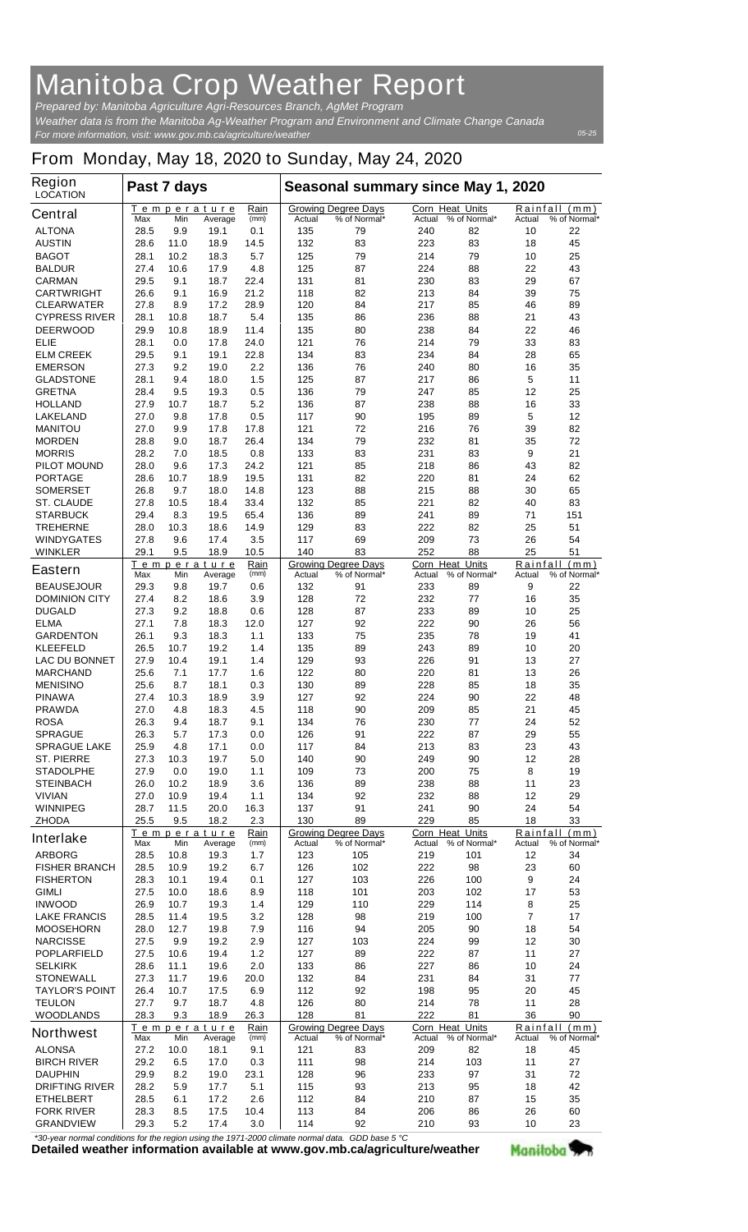## **Manitoba Crop Weather Report**

*For more information, visit: www.gov.mb.ca/agriculture/weather Prepared by: Manitoba Agriculture Agri-Resources Branch, AgMet Program Weather data is from the Manitoba Ag-Weather Program and Environment and Climate Change Canada*

## *05-25*

## **From Monday, May 18, 2020 to Sunday, May 24, 2020**

| Corn Heat Units<br>Rainfall (mm)<br>Temperature<br>Rain<br><b>Growing Degree Days</b><br><b>Central</b><br>(mm)<br>% of Normal*<br>% of Normal*<br>% of Normal*<br>Max<br>Min<br>Average<br>Actual<br>Actual<br>Actual<br><b>ALTONA</b><br>28.5<br>9.9<br>19.1<br>0.1<br>135<br>79<br>240<br>82<br>10<br>22<br><b>AUSTIN</b><br>18.9<br>14.5<br>132<br>83<br>223<br>83<br>18<br>45<br>28.6<br>11.0<br><b>BAGOT</b><br>18.3<br>5.7<br>125<br>79<br>214<br>79<br>25<br>28.1<br>10.2<br>10<br>17.9<br>125<br>87<br>88<br>43<br><b>BALDUR</b><br>27.4<br>10.6<br>4.8<br>224<br>22<br>22.4<br>83<br>29<br>67<br><b>CARMAN</b><br>29.5<br>9.1<br>18.7<br>131<br>81<br>230<br>21.2<br>82<br>39<br>75<br><b>CARTWRIGHT</b><br>26.6<br>9.1<br>16.9<br>118<br>213<br>84<br>28.9<br>120<br>85<br>89<br><b>CLEARWATER</b><br>27.8<br>8.9<br>17.2<br>84<br>217<br>46<br>5.4<br>43<br><b>CYPRESS RIVER</b><br>28.1<br>10.8<br>18.7<br>135<br>86<br>236<br>88<br>21<br>11.4<br>22<br>46<br><b>DEERWOOD</b><br>29.9<br>10.8<br>18.9<br>135<br>80<br>238<br>84<br>28.1<br>24.0<br>121<br>76<br>214<br>79<br>33<br>83<br><b>ELIE</b><br>0.0<br>17.8<br>29.5<br>22.8<br>83<br>28<br>65<br><b>ELM CREEK</b><br>9.1<br>19.1<br>134<br>234<br>84<br>35<br><b>EMERSON</b><br>27.3<br>9.2<br>19.0<br>2.2<br>136<br>76<br>240<br>80<br>16<br>1.5<br>5<br><b>GLADSTONE</b><br>28.1<br>9.4<br>18.0<br>125<br>87<br>217<br>86<br>11<br>85<br>12<br>25<br><b>GRETNA</b><br>28.4<br>9.5<br>19.3<br>0.5<br>136<br>79<br>247<br>27.9<br>5.2<br>33<br><b>HOLLAND</b><br>10.7<br>18.7<br>136<br>87<br>238<br>88<br>16<br>89<br>5<br>12<br><b>LAKELAND</b><br>27.0<br>9.8<br>17.8<br>0.5<br>117<br>90<br>195<br>27.0<br>121<br>72<br>216<br>76<br>39<br>82<br><b>MANITOU</b><br>9.9<br>17.8<br>17.8<br>28.8<br>18.7<br>26.4<br>79<br>232<br>35<br>72<br><b>MORDEN</b><br>9.0<br>134<br>81<br>83<br>21<br><b>MORRIS</b><br>28.2<br>7.0<br>18.5<br>0.8<br>133<br>231<br>83<br>9<br>85<br>82<br><b>PILOT MOUND</b><br>28.0<br>9.6<br>17.3<br>24.2<br>121<br>218<br>86<br>43<br>18.9<br>19.5<br>82<br>220<br>81<br>62<br><b>PORTAGE</b><br>28.6<br>10.7<br>131<br>24<br>88<br>88<br>65<br><b>SOMERSET</b><br>26.8<br>9.7<br>18.0<br>14.8<br>123<br>215<br>30<br>33.4<br>85<br>82<br>83<br><b>ST. CLAUDE</b><br>27.8<br>10.5<br>18.4<br>132<br>221<br>40<br>65.4<br>71<br>151<br><b>STARBUCK</b><br>29.4<br>8.3<br>19.5<br>136<br>89<br>241<br>89<br>83<br>222<br>82<br>25<br>51<br><b>TREHERNE</b><br>28.0<br>10.3<br>18.6<br>14.9<br>129<br>69<br>209<br>73<br>26<br>54<br><b>WINDYGATES</b><br>27.8<br>9.6<br>17.4<br>3.5<br>117<br>25<br>9.5<br>10.5<br>140<br>83<br>252<br>88<br>51<br><b>WINKLER</b><br>29.1<br>18.9<br><b>Corn Heat Units</b><br>Rainfall<br>Temperature<br>Rain<br><b>Growing Degree Days</b><br>(mm)<br><b>Eastern</b><br>(mm)<br>% of Normal*<br>% of Normal*<br>% of Normal*<br>Max<br>Min<br>Actual<br>Actual<br>Actual<br>Average<br>9<br><b>BEAUSEJOUR</b><br>29.3<br>19.7<br>132<br>91<br>233<br>89<br>22<br>9.8<br>0.6<br>27.4<br>128<br>72<br>232<br>16<br>35<br><b>DOMINION CITY</b><br>8.2<br>18.6<br>3.9<br>77<br>27.3<br>233<br>89<br>25<br><b>DUGALD</b><br>9.2<br>18.8<br>0.6<br>128<br>87<br>10<br>27.1<br>92<br>222<br>90<br>56<br><b>ELMA</b><br>7.8<br>18.3<br>127<br>26<br>12.0<br>26.1<br>18.3<br>133<br>75<br>235<br>78<br>41<br><b>GARDENTON</b><br>9.3<br>1.1<br>19<br>26.5<br>135<br>89<br>89<br>20<br><b>KLEEFELD</b><br>10.7<br>19.2<br>1.4<br>243<br>10<br><b>LAC DU BONNET</b><br>27.9<br>10.4<br>19.1<br>1.4<br>129<br>93<br>226<br>91<br>13<br>27<br><b>MARCHAND</b><br>25.6<br>7.1<br>17.7<br>1.6<br>122<br>80<br>220<br>81<br>13<br>26<br>85<br>35<br><b>MENISINO</b><br>25.6<br>8.7<br>18.1<br>0.3<br>130<br>89<br>228<br>18<br>92<br>48<br><b>PINAWA</b><br>27.4<br>10.3<br>18.9<br>3.9<br>127<br>224<br>90<br>22<br>45<br><b>PRAWDA</b><br>27.0<br>4.8<br>18.3<br>4.5<br>118<br>90<br>209<br>85<br>21<br><b>ROSA</b><br>26.3<br>9.4<br>18.7<br>134<br>76<br>230<br>77<br>24<br>52<br>9.1<br>55<br><b>SPRAGUE</b><br>26.3<br>5.7<br>17.3<br>0.0<br>126<br>91<br>222<br>87<br>29<br>25.9<br>213<br>83<br>43<br><b>SPRAGUE LAKE</b><br>4.8<br>17.1<br>0.0<br>117<br>84<br>23<br>19.7<br>140<br>249<br>28<br><b>ST. PIERRE</b><br>27.3<br>10.3<br>5.0<br>90<br>90<br>12<br>27.9<br>75<br>8<br>19<br><b>STADOLPHE</b><br>0.0<br>19.0<br>1.1<br>109<br>73<br>200<br>89<br>238<br>88<br>23<br><b>STEINBACH</b><br>26.0<br>10.2<br>18.9<br>3.6<br>136<br>11<br>10.9<br>92<br>232<br>88<br>29<br><b>VIVIAN</b><br>27.0<br>19.4<br>1.1<br>134<br>12<br>11.5<br>91<br>90<br>24<br>54<br><b>WINNIPEG</b><br>28.7<br>20.0<br>16.3<br>137<br>241<br>25.5<br>130<br>89<br>229<br>85<br>18<br>33<br><b>ZHODA</b><br>9.5<br>18.2<br>2.3<br>Corn Heat Units<br>Temperature<br>Rain<br><b>Growing Degree Days</b><br>Rainfall<br>(mm)<br><b>Interlake</b><br>% of Normal*<br>% of Normal*<br>Max<br>Min<br>Average<br>(mm)<br>Actual<br>Actual<br>Actual<br>% of Normal*<br><b>ARBORG</b><br>28.5<br>10.8<br>19.3<br>$1.7$<br>123<br>105<br>219<br>101<br>12<br>34<br>102<br>98<br>23<br>60<br><b>FISHER BRANCH</b><br>28.5<br>10.9<br>19.2<br>126<br>222<br>6.7<br>9<br>28.3<br>103<br>226<br><b>FISHERTON</b><br>10.1<br>19.4<br>0.1<br>127<br>100<br>24<br><b>GIMLI</b><br>118<br>101<br>203<br>102<br>53<br>27.5<br>10.0<br>18.6<br>8.9<br>17<br>26.9<br>10.7<br>129<br>110<br>229<br>114<br>25<br><b>INWOOD</b><br>19.3<br>1.4<br>8<br>$\overline{7}$<br>98<br>100<br>17<br><b>LAKE FRANCIS</b><br>28.5<br>11.4<br>19.5<br>3.2<br>128<br>219<br>54<br><b>MOOSEHORN</b><br>28.0<br>12.7<br>19.8<br>116<br>94<br>205<br>90<br>18<br>7.9<br>224<br>30<br><b>NARCISSE</b><br>27.5<br>9.9<br>19.2<br>2.9<br>127<br>103<br>99<br>12<br>89<br><b>POPLARFIELD</b><br>27.5<br>10.6<br>19.4<br>1.2<br>127<br>222<br>87<br>11<br>27<br>24<br><b>SELKIRK</b><br>28.6<br>11.1<br>19.6<br>2.0<br>133<br>86<br>227<br>86<br>10<br>27.3<br>11.7<br>132<br>231<br>84<br>77<br><b>STONEWALL</b><br>19.6<br>20.0<br>84<br>31<br>26.4<br>10.7<br>112<br>92<br>198<br>95<br>20<br>45<br><b>TAYLOR'S POINT</b><br>17.5<br>6.9<br>80<br>28<br><b>TEULON</b><br>27.7<br>9.7<br>18.7<br>4.8<br>126<br>214<br>78<br>11<br>28.3<br>18.9<br>128<br>81<br>222<br>81<br>36<br>90<br><b>WOODLANDS</b><br>9.3<br>26.3<br><b>Growing Degree Days</b><br><b>Corn Heat Units</b><br>Rainfall<br>Temperature<br>Rain<br>(mm)<br><b>Northwest</b><br>% of Normal*<br>Actual<br>% of Normal*<br>Actual<br>% of Normal*<br>Min<br>Average<br>(mm)<br>Actual<br>Max<br><b>ALONSA</b><br>121<br>209<br>82<br>45<br>27.2<br>10.0<br>18.1<br>9.1<br>83<br>18<br><b>BIRCH RIVER</b><br>29.2<br>98<br>214<br>103<br>27<br>6.5<br>17.0<br>0.3<br>111<br>11<br>29.9<br>96<br>97<br>72<br><b>DAUPHIN</b><br>8.2<br>19.0<br>23.1<br>128<br>233<br>31<br>5.1<br>115<br>95<br>42<br><b>DRIFTING RIVER</b><br>28.2<br>5.9<br>17.7<br>93<br>213<br>18<br>210<br>35<br><b>ETHELBERT</b><br>28.5<br>6.1<br>17.2<br>2.6<br>112<br>84<br>87<br>15<br>60<br><b>FORK RIVER</b><br>28.3<br>8.5<br>17.5<br>10.4<br>113<br>84<br>206<br>86<br>26<br>29.3<br><b>GRANDVIEW</b><br>5.2<br>17.4<br>3.0<br>114<br>92<br>210<br>93<br>10<br>23 | <b>Region</b><br><b>LOCATION</b> | Seasonal summary since May 1, 2020<br>Past 7 days |  |  |  |  |  |  |  |  |
|----------------------------------------------------------------------------------------------------------------------------------------------------------------------------------------------------------------------------------------------------------------------------------------------------------------------------------------------------------------------------------------------------------------------------------------------------------------------------------------------------------------------------------------------------------------------------------------------------------------------------------------------------------------------------------------------------------------------------------------------------------------------------------------------------------------------------------------------------------------------------------------------------------------------------------------------------------------------------------------------------------------------------------------------------------------------------------------------------------------------------------------------------------------------------------------------------------------------------------------------------------------------------------------------------------------------------------------------------------------------------------------------------------------------------------------------------------------------------------------------------------------------------------------------------------------------------------------------------------------------------------------------------------------------------------------------------------------------------------------------------------------------------------------------------------------------------------------------------------------------------------------------------------------------------------------------------------------------------------------------------------------------------------------------------------------------------------------------------------------------------------------------------------------------------------------------------------------------------------------------------------------------------------------------------------------------------------------------------------------------------------------------------------------------------------------------------------------------------------------------------------------------------------------------------------------------------------------------------------------------------------------------------------------------------------------------------------------------------------------------------------------------------------------------------------------------------------------------------------------------------------------------------------------------------------------------------------------------------------------------------------------------------------------------------------------------------------------------------------------------------------------------------------------------------------------------------------------------------------------------------------------------------------------------------------------------------------------------------------------------------------------------------------------------------------------------------------------------------------------------------------------------------------------------------------------------------------------------------------------------------------------------------------------------------------------------------------------------------------------------------------------------------------------------------------------------------------------------------------------------------------------------------------------------------------------------------------------------------------------------------------------------------------------------------------------------------------------------------------------------------------------------------------------------------------------------------------------------------------------------------------------------------------------------------------------------------------------------------------------------------------------------------------------------------------------------------------------------------------------------------------------------------------------------------------------------------------------------------------------------------------------------------------------------------------------------------------------------------------------------------------------------------------------------------------------------------------------------------------------------------------------------------------------------------------------------------------------------------------------------------------------------------------------------------------------------------------------------------------------------------------------------------------------------------------------------------------------------------------------------------------------------------------------------------------------------------------------------------------------------------------------------------------------------------------------------------------------------------------------------------------------------------------------------------------------------------------------------------------------------------------------------------------------------------------------------------------------------------------------------------------------------------------------------------------------------------------------------------------------------------------------------------------------------------------------------------------------------------------------------------------------------------------------------------------------------------------------------------------------------------------------------------------------------------------------------------------------------------------------------------------------------------------------------------------------------------------------------------------------------------------------------------------------------------------------------------------------------------------------------------------------------------------------------------------------------------------------------------------------------------------------------------------------------------------------------------------------------------------------------------------------------------------------------------------------------------------------------------------------------------------------------------------------------------------------------------------------------------------------------------------------------------------------------------------------------------------------------------------------------------------------------------------------------------------|----------------------------------|---------------------------------------------------|--|--|--|--|--|--|--|--|
|                                                                                                                                                                                                                                                                                                                                                                                                                                                                                                                                                                                                                                                                                                                                                                                                                                                                                                                                                                                                                                                                                                                                                                                                                                                                                                                                                                                                                                                                                                                                                                                                                                                                                                                                                                                                                                                                                                                                                                                                                                                                                                                                                                                                                                                                                                                                                                                                                                                                                                                                                                                                                                                                                                                                                                                                                                                                                                                                                                                                                                                                                                                                                                                                                                                                                                                                                                                                                                                                                                                                                                                                                                                                                                                                                                                                                                                                                                                                                                                                                                                                                                                                                                                                                                                                                                                                                                                                                                                                                                                                                                                                                                                                                                                                                                                                                                                                                                                                                                                                                                                                                                                                                                                                                                                                                                                                                                                                                                                                                                                                                                                                                                                                                                                                                                                                                                                                                                                                                                                                                                                                                                                                                                                                                                                                                                                                                                                                                                                                                                                                                                                                                                                                                                                                                                                                                                                                                                                                                                                                                                                                                                                                                                                  |                                  |                                                   |  |  |  |  |  |  |  |  |
|                                                                                                                                                                                                                                                                                                                                                                                                                                                                                                                                                                                                                                                                                                                                                                                                                                                                                                                                                                                                                                                                                                                                                                                                                                                                                                                                                                                                                                                                                                                                                                                                                                                                                                                                                                                                                                                                                                                                                                                                                                                                                                                                                                                                                                                                                                                                                                                                                                                                                                                                                                                                                                                                                                                                                                                                                                                                                                                                                                                                                                                                                                                                                                                                                                                                                                                                                                                                                                                                                                                                                                                                                                                                                                                                                                                                                                                                                                                                                                                                                                                                                                                                                                                                                                                                                                                                                                                                                                                                                                                                                                                                                                                                                                                                                                                                                                                                                                                                                                                                                                                                                                                                                                                                                                                                                                                                                                                                                                                                                                                                                                                                                                                                                                                                                                                                                                                                                                                                                                                                                                                                                                                                                                                                                                                                                                                                                                                                                                                                                                                                                                                                                                                                                                                                                                                                                                                                                                                                                                                                                                                                                                                                                                                  |                                  |                                                   |  |  |  |  |  |  |  |  |
|                                                                                                                                                                                                                                                                                                                                                                                                                                                                                                                                                                                                                                                                                                                                                                                                                                                                                                                                                                                                                                                                                                                                                                                                                                                                                                                                                                                                                                                                                                                                                                                                                                                                                                                                                                                                                                                                                                                                                                                                                                                                                                                                                                                                                                                                                                                                                                                                                                                                                                                                                                                                                                                                                                                                                                                                                                                                                                                                                                                                                                                                                                                                                                                                                                                                                                                                                                                                                                                                                                                                                                                                                                                                                                                                                                                                                                                                                                                                                                                                                                                                                                                                                                                                                                                                                                                                                                                                                                                                                                                                                                                                                                                                                                                                                                                                                                                                                                                                                                                                                                                                                                                                                                                                                                                                                                                                                                                                                                                                                                                                                                                                                                                                                                                                                                                                                                                                                                                                                                                                                                                                                                                                                                                                                                                                                                                                                                                                                                                                                                                                                                                                                                                                                                                                                                                                                                                                                                                                                                                                                                                                                                                                                                                  |                                  |                                                   |  |  |  |  |  |  |  |  |
|                                                                                                                                                                                                                                                                                                                                                                                                                                                                                                                                                                                                                                                                                                                                                                                                                                                                                                                                                                                                                                                                                                                                                                                                                                                                                                                                                                                                                                                                                                                                                                                                                                                                                                                                                                                                                                                                                                                                                                                                                                                                                                                                                                                                                                                                                                                                                                                                                                                                                                                                                                                                                                                                                                                                                                                                                                                                                                                                                                                                                                                                                                                                                                                                                                                                                                                                                                                                                                                                                                                                                                                                                                                                                                                                                                                                                                                                                                                                                                                                                                                                                                                                                                                                                                                                                                                                                                                                                                                                                                                                                                                                                                                                                                                                                                                                                                                                                                                                                                                                                                                                                                                                                                                                                                                                                                                                                                                                                                                                                                                                                                                                                                                                                                                                                                                                                                                                                                                                                                                                                                                                                                                                                                                                                                                                                                                                                                                                                                                                                                                                                                                                                                                                                                                                                                                                                                                                                                                                                                                                                                                                                                                                                                                  |                                  |                                                   |  |  |  |  |  |  |  |  |
|                                                                                                                                                                                                                                                                                                                                                                                                                                                                                                                                                                                                                                                                                                                                                                                                                                                                                                                                                                                                                                                                                                                                                                                                                                                                                                                                                                                                                                                                                                                                                                                                                                                                                                                                                                                                                                                                                                                                                                                                                                                                                                                                                                                                                                                                                                                                                                                                                                                                                                                                                                                                                                                                                                                                                                                                                                                                                                                                                                                                                                                                                                                                                                                                                                                                                                                                                                                                                                                                                                                                                                                                                                                                                                                                                                                                                                                                                                                                                                                                                                                                                                                                                                                                                                                                                                                                                                                                                                                                                                                                                                                                                                                                                                                                                                                                                                                                                                                                                                                                                                                                                                                                                                                                                                                                                                                                                                                                                                                                                                                                                                                                                                                                                                                                                                                                                                                                                                                                                                                                                                                                                                                                                                                                                                                                                                                                                                                                                                                                                                                                                                                                                                                                                                                                                                                                                                                                                                                                                                                                                                                                                                                                                                                  |                                  |                                                   |  |  |  |  |  |  |  |  |
|                                                                                                                                                                                                                                                                                                                                                                                                                                                                                                                                                                                                                                                                                                                                                                                                                                                                                                                                                                                                                                                                                                                                                                                                                                                                                                                                                                                                                                                                                                                                                                                                                                                                                                                                                                                                                                                                                                                                                                                                                                                                                                                                                                                                                                                                                                                                                                                                                                                                                                                                                                                                                                                                                                                                                                                                                                                                                                                                                                                                                                                                                                                                                                                                                                                                                                                                                                                                                                                                                                                                                                                                                                                                                                                                                                                                                                                                                                                                                                                                                                                                                                                                                                                                                                                                                                                                                                                                                                                                                                                                                                                                                                                                                                                                                                                                                                                                                                                                                                                                                                                                                                                                                                                                                                                                                                                                                                                                                                                                                                                                                                                                                                                                                                                                                                                                                                                                                                                                                                                                                                                                                                                                                                                                                                                                                                                                                                                                                                                                                                                                                                                                                                                                                                                                                                                                                                                                                                                                                                                                                                                                                                                                                                                  |                                  |                                                   |  |  |  |  |  |  |  |  |
|                                                                                                                                                                                                                                                                                                                                                                                                                                                                                                                                                                                                                                                                                                                                                                                                                                                                                                                                                                                                                                                                                                                                                                                                                                                                                                                                                                                                                                                                                                                                                                                                                                                                                                                                                                                                                                                                                                                                                                                                                                                                                                                                                                                                                                                                                                                                                                                                                                                                                                                                                                                                                                                                                                                                                                                                                                                                                                                                                                                                                                                                                                                                                                                                                                                                                                                                                                                                                                                                                                                                                                                                                                                                                                                                                                                                                                                                                                                                                                                                                                                                                                                                                                                                                                                                                                                                                                                                                                                                                                                                                                                                                                                                                                                                                                                                                                                                                                                                                                                                                                                                                                                                                                                                                                                                                                                                                                                                                                                                                                                                                                                                                                                                                                                                                                                                                                                                                                                                                                                                                                                                                                                                                                                                                                                                                                                                                                                                                                                                                                                                                                                                                                                                                                                                                                                                                                                                                                                                                                                                                                                                                                                                                                                  |                                  |                                                   |  |  |  |  |  |  |  |  |
|                                                                                                                                                                                                                                                                                                                                                                                                                                                                                                                                                                                                                                                                                                                                                                                                                                                                                                                                                                                                                                                                                                                                                                                                                                                                                                                                                                                                                                                                                                                                                                                                                                                                                                                                                                                                                                                                                                                                                                                                                                                                                                                                                                                                                                                                                                                                                                                                                                                                                                                                                                                                                                                                                                                                                                                                                                                                                                                                                                                                                                                                                                                                                                                                                                                                                                                                                                                                                                                                                                                                                                                                                                                                                                                                                                                                                                                                                                                                                                                                                                                                                                                                                                                                                                                                                                                                                                                                                                                                                                                                                                                                                                                                                                                                                                                                                                                                                                                                                                                                                                                                                                                                                                                                                                                                                                                                                                                                                                                                                                                                                                                                                                                                                                                                                                                                                                                                                                                                                                                                                                                                                                                                                                                                                                                                                                                                                                                                                                                                                                                                                                                                                                                                                                                                                                                                                                                                                                                                                                                                                                                                                                                                                                                  |                                  |                                                   |  |  |  |  |  |  |  |  |
|                                                                                                                                                                                                                                                                                                                                                                                                                                                                                                                                                                                                                                                                                                                                                                                                                                                                                                                                                                                                                                                                                                                                                                                                                                                                                                                                                                                                                                                                                                                                                                                                                                                                                                                                                                                                                                                                                                                                                                                                                                                                                                                                                                                                                                                                                                                                                                                                                                                                                                                                                                                                                                                                                                                                                                                                                                                                                                                                                                                                                                                                                                                                                                                                                                                                                                                                                                                                                                                                                                                                                                                                                                                                                                                                                                                                                                                                                                                                                                                                                                                                                                                                                                                                                                                                                                                                                                                                                                                                                                                                                                                                                                                                                                                                                                                                                                                                                                                                                                                                                                                                                                                                                                                                                                                                                                                                                                                                                                                                                                                                                                                                                                                                                                                                                                                                                                                                                                                                                                                                                                                                                                                                                                                                                                                                                                                                                                                                                                                                                                                                                                                                                                                                                                                                                                                                                                                                                                                                                                                                                                                                                                                                                                                  |                                  |                                                   |  |  |  |  |  |  |  |  |
|                                                                                                                                                                                                                                                                                                                                                                                                                                                                                                                                                                                                                                                                                                                                                                                                                                                                                                                                                                                                                                                                                                                                                                                                                                                                                                                                                                                                                                                                                                                                                                                                                                                                                                                                                                                                                                                                                                                                                                                                                                                                                                                                                                                                                                                                                                                                                                                                                                                                                                                                                                                                                                                                                                                                                                                                                                                                                                                                                                                                                                                                                                                                                                                                                                                                                                                                                                                                                                                                                                                                                                                                                                                                                                                                                                                                                                                                                                                                                                                                                                                                                                                                                                                                                                                                                                                                                                                                                                                                                                                                                                                                                                                                                                                                                                                                                                                                                                                                                                                                                                                                                                                                                                                                                                                                                                                                                                                                                                                                                                                                                                                                                                                                                                                                                                                                                                                                                                                                                                                                                                                                                                                                                                                                                                                                                                                                                                                                                                                                                                                                                                                                                                                                                                                                                                                                                                                                                                                                                                                                                                                                                                                                                                                  |                                  |                                                   |  |  |  |  |  |  |  |  |
|                                                                                                                                                                                                                                                                                                                                                                                                                                                                                                                                                                                                                                                                                                                                                                                                                                                                                                                                                                                                                                                                                                                                                                                                                                                                                                                                                                                                                                                                                                                                                                                                                                                                                                                                                                                                                                                                                                                                                                                                                                                                                                                                                                                                                                                                                                                                                                                                                                                                                                                                                                                                                                                                                                                                                                                                                                                                                                                                                                                                                                                                                                                                                                                                                                                                                                                                                                                                                                                                                                                                                                                                                                                                                                                                                                                                                                                                                                                                                                                                                                                                                                                                                                                                                                                                                                                                                                                                                                                                                                                                                                                                                                                                                                                                                                                                                                                                                                                                                                                                                                                                                                                                                                                                                                                                                                                                                                                                                                                                                                                                                                                                                                                                                                                                                                                                                                                                                                                                                                                                                                                                                                                                                                                                                                                                                                                                                                                                                                                                                                                                                                                                                                                                                                                                                                                                                                                                                                                                                                                                                                                                                                                                                                                  |                                  |                                                   |  |  |  |  |  |  |  |  |
|                                                                                                                                                                                                                                                                                                                                                                                                                                                                                                                                                                                                                                                                                                                                                                                                                                                                                                                                                                                                                                                                                                                                                                                                                                                                                                                                                                                                                                                                                                                                                                                                                                                                                                                                                                                                                                                                                                                                                                                                                                                                                                                                                                                                                                                                                                                                                                                                                                                                                                                                                                                                                                                                                                                                                                                                                                                                                                                                                                                                                                                                                                                                                                                                                                                                                                                                                                                                                                                                                                                                                                                                                                                                                                                                                                                                                                                                                                                                                                                                                                                                                                                                                                                                                                                                                                                                                                                                                                                                                                                                                                                                                                                                                                                                                                                                                                                                                                                                                                                                                                                                                                                                                                                                                                                                                                                                                                                                                                                                                                                                                                                                                                                                                                                                                                                                                                                                                                                                                                                                                                                                                                                                                                                                                                                                                                                                                                                                                                                                                                                                                                                                                                                                                                                                                                                                                                                                                                                                                                                                                                                                                                                                                                                  |                                  |                                                   |  |  |  |  |  |  |  |  |
|                                                                                                                                                                                                                                                                                                                                                                                                                                                                                                                                                                                                                                                                                                                                                                                                                                                                                                                                                                                                                                                                                                                                                                                                                                                                                                                                                                                                                                                                                                                                                                                                                                                                                                                                                                                                                                                                                                                                                                                                                                                                                                                                                                                                                                                                                                                                                                                                                                                                                                                                                                                                                                                                                                                                                                                                                                                                                                                                                                                                                                                                                                                                                                                                                                                                                                                                                                                                                                                                                                                                                                                                                                                                                                                                                                                                                                                                                                                                                                                                                                                                                                                                                                                                                                                                                                                                                                                                                                                                                                                                                                                                                                                                                                                                                                                                                                                                                                                                                                                                                                                                                                                                                                                                                                                                                                                                                                                                                                                                                                                                                                                                                                                                                                                                                                                                                                                                                                                                                                                                                                                                                                                                                                                                                                                                                                                                                                                                                                                                                                                                                                                                                                                                                                                                                                                                                                                                                                                                                                                                                                                                                                                                                                                  |                                  |                                                   |  |  |  |  |  |  |  |  |
|                                                                                                                                                                                                                                                                                                                                                                                                                                                                                                                                                                                                                                                                                                                                                                                                                                                                                                                                                                                                                                                                                                                                                                                                                                                                                                                                                                                                                                                                                                                                                                                                                                                                                                                                                                                                                                                                                                                                                                                                                                                                                                                                                                                                                                                                                                                                                                                                                                                                                                                                                                                                                                                                                                                                                                                                                                                                                                                                                                                                                                                                                                                                                                                                                                                                                                                                                                                                                                                                                                                                                                                                                                                                                                                                                                                                                                                                                                                                                                                                                                                                                                                                                                                                                                                                                                                                                                                                                                                                                                                                                                                                                                                                                                                                                                                                                                                                                                                                                                                                                                                                                                                                                                                                                                                                                                                                                                                                                                                                                                                                                                                                                                                                                                                                                                                                                                                                                                                                                                                                                                                                                                                                                                                                                                                                                                                                                                                                                                                                                                                                                                                                                                                                                                                                                                                                                                                                                                                                                                                                                                                                                                                                                                                  |                                  |                                                   |  |  |  |  |  |  |  |  |
|                                                                                                                                                                                                                                                                                                                                                                                                                                                                                                                                                                                                                                                                                                                                                                                                                                                                                                                                                                                                                                                                                                                                                                                                                                                                                                                                                                                                                                                                                                                                                                                                                                                                                                                                                                                                                                                                                                                                                                                                                                                                                                                                                                                                                                                                                                                                                                                                                                                                                                                                                                                                                                                                                                                                                                                                                                                                                                                                                                                                                                                                                                                                                                                                                                                                                                                                                                                                                                                                                                                                                                                                                                                                                                                                                                                                                                                                                                                                                                                                                                                                                                                                                                                                                                                                                                                                                                                                                                                                                                                                                                                                                                                                                                                                                                                                                                                                                                                                                                                                                                                                                                                                                                                                                                                                                                                                                                                                                                                                                                                                                                                                                                                                                                                                                                                                                                                                                                                                                                                                                                                                                                                                                                                                                                                                                                                                                                                                                                                                                                                                                                                                                                                                                                                                                                                                                                                                                                                                                                                                                                                                                                                                                                                  |                                  |                                                   |  |  |  |  |  |  |  |  |
|                                                                                                                                                                                                                                                                                                                                                                                                                                                                                                                                                                                                                                                                                                                                                                                                                                                                                                                                                                                                                                                                                                                                                                                                                                                                                                                                                                                                                                                                                                                                                                                                                                                                                                                                                                                                                                                                                                                                                                                                                                                                                                                                                                                                                                                                                                                                                                                                                                                                                                                                                                                                                                                                                                                                                                                                                                                                                                                                                                                                                                                                                                                                                                                                                                                                                                                                                                                                                                                                                                                                                                                                                                                                                                                                                                                                                                                                                                                                                                                                                                                                                                                                                                                                                                                                                                                                                                                                                                                                                                                                                                                                                                                                                                                                                                                                                                                                                                                                                                                                                                                                                                                                                                                                                                                                                                                                                                                                                                                                                                                                                                                                                                                                                                                                                                                                                                                                                                                                                                                                                                                                                                                                                                                                                                                                                                                                                                                                                                                                                                                                                                                                                                                                                                                                                                                                                                                                                                                                                                                                                                                                                                                                                                                  |                                  |                                                   |  |  |  |  |  |  |  |  |
|                                                                                                                                                                                                                                                                                                                                                                                                                                                                                                                                                                                                                                                                                                                                                                                                                                                                                                                                                                                                                                                                                                                                                                                                                                                                                                                                                                                                                                                                                                                                                                                                                                                                                                                                                                                                                                                                                                                                                                                                                                                                                                                                                                                                                                                                                                                                                                                                                                                                                                                                                                                                                                                                                                                                                                                                                                                                                                                                                                                                                                                                                                                                                                                                                                                                                                                                                                                                                                                                                                                                                                                                                                                                                                                                                                                                                                                                                                                                                                                                                                                                                                                                                                                                                                                                                                                                                                                                                                                                                                                                                                                                                                                                                                                                                                                                                                                                                                                                                                                                                                                                                                                                                                                                                                                                                                                                                                                                                                                                                                                                                                                                                                                                                                                                                                                                                                                                                                                                                                                                                                                                                                                                                                                                                                                                                                                                                                                                                                                                                                                                                                                                                                                                                                                                                                                                                                                                                                                                                                                                                                                                                                                                                                                  |                                  |                                                   |  |  |  |  |  |  |  |  |
|                                                                                                                                                                                                                                                                                                                                                                                                                                                                                                                                                                                                                                                                                                                                                                                                                                                                                                                                                                                                                                                                                                                                                                                                                                                                                                                                                                                                                                                                                                                                                                                                                                                                                                                                                                                                                                                                                                                                                                                                                                                                                                                                                                                                                                                                                                                                                                                                                                                                                                                                                                                                                                                                                                                                                                                                                                                                                                                                                                                                                                                                                                                                                                                                                                                                                                                                                                                                                                                                                                                                                                                                                                                                                                                                                                                                                                                                                                                                                                                                                                                                                                                                                                                                                                                                                                                                                                                                                                                                                                                                                                                                                                                                                                                                                                                                                                                                                                                                                                                                                                                                                                                                                                                                                                                                                                                                                                                                                                                                                                                                                                                                                                                                                                                                                                                                                                                                                                                                                                                                                                                                                                                                                                                                                                                                                                                                                                                                                                                                                                                                                                                                                                                                                                                                                                                                                                                                                                                                                                                                                                                                                                                                                                                  |                                  |                                                   |  |  |  |  |  |  |  |  |
|                                                                                                                                                                                                                                                                                                                                                                                                                                                                                                                                                                                                                                                                                                                                                                                                                                                                                                                                                                                                                                                                                                                                                                                                                                                                                                                                                                                                                                                                                                                                                                                                                                                                                                                                                                                                                                                                                                                                                                                                                                                                                                                                                                                                                                                                                                                                                                                                                                                                                                                                                                                                                                                                                                                                                                                                                                                                                                                                                                                                                                                                                                                                                                                                                                                                                                                                                                                                                                                                                                                                                                                                                                                                                                                                                                                                                                                                                                                                                                                                                                                                                                                                                                                                                                                                                                                                                                                                                                                                                                                                                                                                                                                                                                                                                                                                                                                                                                                                                                                                                                                                                                                                                                                                                                                                                                                                                                                                                                                                                                                                                                                                                                                                                                                                                                                                                                                                                                                                                                                                                                                                                                                                                                                                                                                                                                                                                                                                                                                                                                                                                                                                                                                                                                                                                                                                                                                                                                                                                                                                                                                                                                                                                                                  |                                  |                                                   |  |  |  |  |  |  |  |  |
|                                                                                                                                                                                                                                                                                                                                                                                                                                                                                                                                                                                                                                                                                                                                                                                                                                                                                                                                                                                                                                                                                                                                                                                                                                                                                                                                                                                                                                                                                                                                                                                                                                                                                                                                                                                                                                                                                                                                                                                                                                                                                                                                                                                                                                                                                                                                                                                                                                                                                                                                                                                                                                                                                                                                                                                                                                                                                                                                                                                                                                                                                                                                                                                                                                                                                                                                                                                                                                                                                                                                                                                                                                                                                                                                                                                                                                                                                                                                                                                                                                                                                                                                                                                                                                                                                                                                                                                                                                                                                                                                                                                                                                                                                                                                                                                                                                                                                                                                                                                                                                                                                                                                                                                                                                                                                                                                                                                                                                                                                                                                                                                                                                                                                                                                                                                                                                                                                                                                                                                                                                                                                                                                                                                                                                                                                                                                                                                                                                                                                                                                                                                                                                                                                                                                                                                                                                                                                                                                                                                                                                                                                                                                                                                  |                                  |                                                   |  |  |  |  |  |  |  |  |
|                                                                                                                                                                                                                                                                                                                                                                                                                                                                                                                                                                                                                                                                                                                                                                                                                                                                                                                                                                                                                                                                                                                                                                                                                                                                                                                                                                                                                                                                                                                                                                                                                                                                                                                                                                                                                                                                                                                                                                                                                                                                                                                                                                                                                                                                                                                                                                                                                                                                                                                                                                                                                                                                                                                                                                                                                                                                                                                                                                                                                                                                                                                                                                                                                                                                                                                                                                                                                                                                                                                                                                                                                                                                                                                                                                                                                                                                                                                                                                                                                                                                                                                                                                                                                                                                                                                                                                                                                                                                                                                                                                                                                                                                                                                                                                                                                                                                                                                                                                                                                                                                                                                                                                                                                                                                                                                                                                                                                                                                                                                                                                                                                                                                                                                                                                                                                                                                                                                                                                                                                                                                                                                                                                                                                                                                                                                                                                                                                                                                                                                                                                                                                                                                                                                                                                                                                                                                                                                                                                                                                                                                                                                                                                                  |                                  |                                                   |  |  |  |  |  |  |  |  |
|                                                                                                                                                                                                                                                                                                                                                                                                                                                                                                                                                                                                                                                                                                                                                                                                                                                                                                                                                                                                                                                                                                                                                                                                                                                                                                                                                                                                                                                                                                                                                                                                                                                                                                                                                                                                                                                                                                                                                                                                                                                                                                                                                                                                                                                                                                                                                                                                                                                                                                                                                                                                                                                                                                                                                                                                                                                                                                                                                                                                                                                                                                                                                                                                                                                                                                                                                                                                                                                                                                                                                                                                                                                                                                                                                                                                                                                                                                                                                                                                                                                                                                                                                                                                                                                                                                                                                                                                                                                                                                                                                                                                                                                                                                                                                                                                                                                                                                                                                                                                                                                                                                                                                                                                                                                                                                                                                                                                                                                                                                                                                                                                                                                                                                                                                                                                                                                                                                                                                                                                                                                                                                                                                                                                                                                                                                                                                                                                                                                                                                                                                                                                                                                                                                                                                                                                                                                                                                                                                                                                                                                                                                                                                                                  |                                  |                                                   |  |  |  |  |  |  |  |  |
|                                                                                                                                                                                                                                                                                                                                                                                                                                                                                                                                                                                                                                                                                                                                                                                                                                                                                                                                                                                                                                                                                                                                                                                                                                                                                                                                                                                                                                                                                                                                                                                                                                                                                                                                                                                                                                                                                                                                                                                                                                                                                                                                                                                                                                                                                                                                                                                                                                                                                                                                                                                                                                                                                                                                                                                                                                                                                                                                                                                                                                                                                                                                                                                                                                                                                                                                                                                                                                                                                                                                                                                                                                                                                                                                                                                                                                                                                                                                                                                                                                                                                                                                                                                                                                                                                                                                                                                                                                                                                                                                                                                                                                                                                                                                                                                                                                                                                                                                                                                                                                                                                                                                                                                                                                                                                                                                                                                                                                                                                                                                                                                                                                                                                                                                                                                                                                                                                                                                                                                                                                                                                                                                                                                                                                                                                                                                                                                                                                                                                                                                                                                                                                                                                                                                                                                                                                                                                                                                                                                                                                                                                                                                                                                  |                                  |                                                   |  |  |  |  |  |  |  |  |
|                                                                                                                                                                                                                                                                                                                                                                                                                                                                                                                                                                                                                                                                                                                                                                                                                                                                                                                                                                                                                                                                                                                                                                                                                                                                                                                                                                                                                                                                                                                                                                                                                                                                                                                                                                                                                                                                                                                                                                                                                                                                                                                                                                                                                                                                                                                                                                                                                                                                                                                                                                                                                                                                                                                                                                                                                                                                                                                                                                                                                                                                                                                                                                                                                                                                                                                                                                                                                                                                                                                                                                                                                                                                                                                                                                                                                                                                                                                                                                                                                                                                                                                                                                                                                                                                                                                                                                                                                                                                                                                                                                                                                                                                                                                                                                                                                                                                                                                                                                                                                                                                                                                                                                                                                                                                                                                                                                                                                                                                                                                                                                                                                                                                                                                                                                                                                                                                                                                                                                                                                                                                                                                                                                                                                                                                                                                                                                                                                                                                                                                                                                                                                                                                                                                                                                                                                                                                                                                                                                                                                                                                                                                                                                                  |                                  |                                                   |  |  |  |  |  |  |  |  |
|                                                                                                                                                                                                                                                                                                                                                                                                                                                                                                                                                                                                                                                                                                                                                                                                                                                                                                                                                                                                                                                                                                                                                                                                                                                                                                                                                                                                                                                                                                                                                                                                                                                                                                                                                                                                                                                                                                                                                                                                                                                                                                                                                                                                                                                                                                                                                                                                                                                                                                                                                                                                                                                                                                                                                                                                                                                                                                                                                                                                                                                                                                                                                                                                                                                                                                                                                                                                                                                                                                                                                                                                                                                                                                                                                                                                                                                                                                                                                                                                                                                                                                                                                                                                                                                                                                                                                                                                                                                                                                                                                                                                                                                                                                                                                                                                                                                                                                                                                                                                                                                                                                                                                                                                                                                                                                                                                                                                                                                                                                                                                                                                                                                                                                                                                                                                                                                                                                                                                                                                                                                                                                                                                                                                                                                                                                                                                                                                                                                                                                                                                                                                                                                                                                                                                                                                                                                                                                                                                                                                                                                                                                                                                                                  |                                  |                                                   |  |  |  |  |  |  |  |  |
|                                                                                                                                                                                                                                                                                                                                                                                                                                                                                                                                                                                                                                                                                                                                                                                                                                                                                                                                                                                                                                                                                                                                                                                                                                                                                                                                                                                                                                                                                                                                                                                                                                                                                                                                                                                                                                                                                                                                                                                                                                                                                                                                                                                                                                                                                                                                                                                                                                                                                                                                                                                                                                                                                                                                                                                                                                                                                                                                                                                                                                                                                                                                                                                                                                                                                                                                                                                                                                                                                                                                                                                                                                                                                                                                                                                                                                                                                                                                                                                                                                                                                                                                                                                                                                                                                                                                                                                                                                                                                                                                                                                                                                                                                                                                                                                                                                                                                                                                                                                                                                                                                                                                                                                                                                                                                                                                                                                                                                                                                                                                                                                                                                                                                                                                                                                                                                                                                                                                                                                                                                                                                                                                                                                                                                                                                                                                                                                                                                                                                                                                                                                                                                                                                                                                                                                                                                                                                                                                                                                                                                                                                                                                                                                  |                                  |                                                   |  |  |  |  |  |  |  |  |
|                                                                                                                                                                                                                                                                                                                                                                                                                                                                                                                                                                                                                                                                                                                                                                                                                                                                                                                                                                                                                                                                                                                                                                                                                                                                                                                                                                                                                                                                                                                                                                                                                                                                                                                                                                                                                                                                                                                                                                                                                                                                                                                                                                                                                                                                                                                                                                                                                                                                                                                                                                                                                                                                                                                                                                                                                                                                                                                                                                                                                                                                                                                                                                                                                                                                                                                                                                                                                                                                                                                                                                                                                                                                                                                                                                                                                                                                                                                                                                                                                                                                                                                                                                                                                                                                                                                                                                                                                                                                                                                                                                                                                                                                                                                                                                                                                                                                                                                                                                                                                                                                                                                                                                                                                                                                                                                                                                                                                                                                                                                                                                                                                                                                                                                                                                                                                                                                                                                                                                                                                                                                                                                                                                                                                                                                                                                                                                                                                                                                                                                                                                                                                                                                                                                                                                                                                                                                                                                                                                                                                                                                                                                                                                                  |                                  |                                                   |  |  |  |  |  |  |  |  |
|                                                                                                                                                                                                                                                                                                                                                                                                                                                                                                                                                                                                                                                                                                                                                                                                                                                                                                                                                                                                                                                                                                                                                                                                                                                                                                                                                                                                                                                                                                                                                                                                                                                                                                                                                                                                                                                                                                                                                                                                                                                                                                                                                                                                                                                                                                                                                                                                                                                                                                                                                                                                                                                                                                                                                                                                                                                                                                                                                                                                                                                                                                                                                                                                                                                                                                                                                                                                                                                                                                                                                                                                                                                                                                                                                                                                                                                                                                                                                                                                                                                                                                                                                                                                                                                                                                                                                                                                                                                                                                                                                                                                                                                                                                                                                                                                                                                                                                                                                                                                                                                                                                                                                                                                                                                                                                                                                                                                                                                                                                                                                                                                                                                                                                                                                                                                                                                                                                                                                                                                                                                                                                                                                                                                                                                                                                                                                                                                                                                                                                                                                                                                                                                                                                                                                                                                                                                                                                                                                                                                                                                                                                                                                                                  |                                  |                                                   |  |  |  |  |  |  |  |  |
|                                                                                                                                                                                                                                                                                                                                                                                                                                                                                                                                                                                                                                                                                                                                                                                                                                                                                                                                                                                                                                                                                                                                                                                                                                                                                                                                                                                                                                                                                                                                                                                                                                                                                                                                                                                                                                                                                                                                                                                                                                                                                                                                                                                                                                                                                                                                                                                                                                                                                                                                                                                                                                                                                                                                                                                                                                                                                                                                                                                                                                                                                                                                                                                                                                                                                                                                                                                                                                                                                                                                                                                                                                                                                                                                                                                                                                                                                                                                                                                                                                                                                                                                                                                                                                                                                                                                                                                                                                                                                                                                                                                                                                                                                                                                                                                                                                                                                                                                                                                                                                                                                                                                                                                                                                                                                                                                                                                                                                                                                                                                                                                                                                                                                                                                                                                                                                                                                                                                                                                                                                                                                                                                                                                                                                                                                                                                                                                                                                                                                                                                                                                                                                                                                                                                                                                                                                                                                                                                                                                                                                                                                                                                                                                  |                                  |                                                   |  |  |  |  |  |  |  |  |
|                                                                                                                                                                                                                                                                                                                                                                                                                                                                                                                                                                                                                                                                                                                                                                                                                                                                                                                                                                                                                                                                                                                                                                                                                                                                                                                                                                                                                                                                                                                                                                                                                                                                                                                                                                                                                                                                                                                                                                                                                                                                                                                                                                                                                                                                                                                                                                                                                                                                                                                                                                                                                                                                                                                                                                                                                                                                                                                                                                                                                                                                                                                                                                                                                                                                                                                                                                                                                                                                                                                                                                                                                                                                                                                                                                                                                                                                                                                                                                                                                                                                                                                                                                                                                                                                                                                                                                                                                                                                                                                                                                                                                                                                                                                                                                                                                                                                                                                                                                                                                                                                                                                                                                                                                                                                                                                                                                                                                                                                                                                                                                                                                                                                                                                                                                                                                                                                                                                                                                                                                                                                                                                                                                                                                                                                                                                                                                                                                                                                                                                                                                                                                                                                                                                                                                                                                                                                                                                                                                                                                                                                                                                                                                                  |                                  |                                                   |  |  |  |  |  |  |  |  |
|                                                                                                                                                                                                                                                                                                                                                                                                                                                                                                                                                                                                                                                                                                                                                                                                                                                                                                                                                                                                                                                                                                                                                                                                                                                                                                                                                                                                                                                                                                                                                                                                                                                                                                                                                                                                                                                                                                                                                                                                                                                                                                                                                                                                                                                                                                                                                                                                                                                                                                                                                                                                                                                                                                                                                                                                                                                                                                                                                                                                                                                                                                                                                                                                                                                                                                                                                                                                                                                                                                                                                                                                                                                                                                                                                                                                                                                                                                                                                                                                                                                                                                                                                                                                                                                                                                                                                                                                                                                                                                                                                                                                                                                                                                                                                                                                                                                                                                                                                                                                                                                                                                                                                                                                                                                                                                                                                                                                                                                                                                                                                                                                                                                                                                                                                                                                                                                                                                                                                                                                                                                                                                                                                                                                                                                                                                                                                                                                                                                                                                                                                                                                                                                                                                                                                                                                                                                                                                                                                                                                                                                                                                                                                                                  |                                  |                                                   |  |  |  |  |  |  |  |  |
|                                                                                                                                                                                                                                                                                                                                                                                                                                                                                                                                                                                                                                                                                                                                                                                                                                                                                                                                                                                                                                                                                                                                                                                                                                                                                                                                                                                                                                                                                                                                                                                                                                                                                                                                                                                                                                                                                                                                                                                                                                                                                                                                                                                                                                                                                                                                                                                                                                                                                                                                                                                                                                                                                                                                                                                                                                                                                                                                                                                                                                                                                                                                                                                                                                                                                                                                                                                                                                                                                                                                                                                                                                                                                                                                                                                                                                                                                                                                                                                                                                                                                                                                                                                                                                                                                                                                                                                                                                                                                                                                                                                                                                                                                                                                                                                                                                                                                                                                                                                                                                                                                                                                                                                                                                                                                                                                                                                                                                                                                                                                                                                                                                                                                                                                                                                                                                                                                                                                                                                                                                                                                                                                                                                                                                                                                                                                                                                                                                                                                                                                                                                                                                                                                                                                                                                                                                                                                                                                                                                                                                                                                                                                                                                  |                                  |                                                   |  |  |  |  |  |  |  |  |
|                                                                                                                                                                                                                                                                                                                                                                                                                                                                                                                                                                                                                                                                                                                                                                                                                                                                                                                                                                                                                                                                                                                                                                                                                                                                                                                                                                                                                                                                                                                                                                                                                                                                                                                                                                                                                                                                                                                                                                                                                                                                                                                                                                                                                                                                                                                                                                                                                                                                                                                                                                                                                                                                                                                                                                                                                                                                                                                                                                                                                                                                                                                                                                                                                                                                                                                                                                                                                                                                                                                                                                                                                                                                                                                                                                                                                                                                                                                                                                                                                                                                                                                                                                                                                                                                                                                                                                                                                                                                                                                                                                                                                                                                                                                                                                                                                                                                                                                                                                                                                                                                                                                                                                                                                                                                                                                                                                                                                                                                                                                                                                                                                                                                                                                                                                                                                                                                                                                                                                                                                                                                                                                                                                                                                                                                                                                                                                                                                                                                                                                                                                                                                                                                                                                                                                                                                                                                                                                                                                                                                                                                                                                                                                                  |                                  |                                                   |  |  |  |  |  |  |  |  |
|                                                                                                                                                                                                                                                                                                                                                                                                                                                                                                                                                                                                                                                                                                                                                                                                                                                                                                                                                                                                                                                                                                                                                                                                                                                                                                                                                                                                                                                                                                                                                                                                                                                                                                                                                                                                                                                                                                                                                                                                                                                                                                                                                                                                                                                                                                                                                                                                                                                                                                                                                                                                                                                                                                                                                                                                                                                                                                                                                                                                                                                                                                                                                                                                                                                                                                                                                                                                                                                                                                                                                                                                                                                                                                                                                                                                                                                                                                                                                                                                                                                                                                                                                                                                                                                                                                                                                                                                                                                                                                                                                                                                                                                                                                                                                                                                                                                                                                                                                                                                                                                                                                                                                                                                                                                                                                                                                                                                                                                                                                                                                                                                                                                                                                                                                                                                                                                                                                                                                                                                                                                                                                                                                                                                                                                                                                                                                                                                                                                                                                                                                                                                                                                                                                                                                                                                                                                                                                                                                                                                                                                                                                                                                                                  |                                  |                                                   |  |  |  |  |  |  |  |  |
|                                                                                                                                                                                                                                                                                                                                                                                                                                                                                                                                                                                                                                                                                                                                                                                                                                                                                                                                                                                                                                                                                                                                                                                                                                                                                                                                                                                                                                                                                                                                                                                                                                                                                                                                                                                                                                                                                                                                                                                                                                                                                                                                                                                                                                                                                                                                                                                                                                                                                                                                                                                                                                                                                                                                                                                                                                                                                                                                                                                                                                                                                                                                                                                                                                                                                                                                                                                                                                                                                                                                                                                                                                                                                                                                                                                                                                                                                                                                                                                                                                                                                                                                                                                                                                                                                                                                                                                                                                                                                                                                                                                                                                                                                                                                                                                                                                                                                                                                                                                                                                                                                                                                                                                                                                                                                                                                                                                                                                                                                                                                                                                                                                                                                                                                                                                                                                                                                                                                                                                                                                                                                                                                                                                                                                                                                                                                                                                                                                                                                                                                                                                                                                                                                                                                                                                                                                                                                                                                                                                                                                                                                                                                                                                  |                                  |                                                   |  |  |  |  |  |  |  |  |
|                                                                                                                                                                                                                                                                                                                                                                                                                                                                                                                                                                                                                                                                                                                                                                                                                                                                                                                                                                                                                                                                                                                                                                                                                                                                                                                                                                                                                                                                                                                                                                                                                                                                                                                                                                                                                                                                                                                                                                                                                                                                                                                                                                                                                                                                                                                                                                                                                                                                                                                                                                                                                                                                                                                                                                                                                                                                                                                                                                                                                                                                                                                                                                                                                                                                                                                                                                                                                                                                                                                                                                                                                                                                                                                                                                                                                                                                                                                                                                                                                                                                                                                                                                                                                                                                                                                                                                                                                                                                                                                                                                                                                                                                                                                                                                                                                                                                                                                                                                                                                                                                                                                                                                                                                                                                                                                                                                                                                                                                                                                                                                                                                                                                                                                                                                                                                                                                                                                                                                                                                                                                                                                                                                                                                                                                                                                                                                                                                                                                                                                                                                                                                                                                                                                                                                                                                                                                                                                                                                                                                                                                                                                                                                                  |                                  |                                                   |  |  |  |  |  |  |  |  |
|                                                                                                                                                                                                                                                                                                                                                                                                                                                                                                                                                                                                                                                                                                                                                                                                                                                                                                                                                                                                                                                                                                                                                                                                                                                                                                                                                                                                                                                                                                                                                                                                                                                                                                                                                                                                                                                                                                                                                                                                                                                                                                                                                                                                                                                                                                                                                                                                                                                                                                                                                                                                                                                                                                                                                                                                                                                                                                                                                                                                                                                                                                                                                                                                                                                                                                                                                                                                                                                                                                                                                                                                                                                                                                                                                                                                                                                                                                                                                                                                                                                                                                                                                                                                                                                                                                                                                                                                                                                                                                                                                                                                                                                                                                                                                                                                                                                                                                                                                                                                                                                                                                                                                                                                                                                                                                                                                                                                                                                                                                                                                                                                                                                                                                                                                                                                                                                                                                                                                                                                                                                                                                                                                                                                                                                                                                                                                                                                                                                                                                                                                                                                                                                                                                                                                                                                                                                                                                                                                                                                                                                                                                                                                                                  |                                  |                                                   |  |  |  |  |  |  |  |  |
|                                                                                                                                                                                                                                                                                                                                                                                                                                                                                                                                                                                                                                                                                                                                                                                                                                                                                                                                                                                                                                                                                                                                                                                                                                                                                                                                                                                                                                                                                                                                                                                                                                                                                                                                                                                                                                                                                                                                                                                                                                                                                                                                                                                                                                                                                                                                                                                                                                                                                                                                                                                                                                                                                                                                                                                                                                                                                                                                                                                                                                                                                                                                                                                                                                                                                                                                                                                                                                                                                                                                                                                                                                                                                                                                                                                                                                                                                                                                                                                                                                                                                                                                                                                                                                                                                                                                                                                                                                                                                                                                                                                                                                                                                                                                                                                                                                                                                                                                                                                                                                                                                                                                                                                                                                                                                                                                                                                                                                                                                                                                                                                                                                                                                                                                                                                                                                                                                                                                                                                                                                                                                                                                                                                                                                                                                                                                                                                                                                                                                                                                                                                                                                                                                                                                                                                                                                                                                                                                                                                                                                                                                                                                                                                  |                                  |                                                   |  |  |  |  |  |  |  |  |
|                                                                                                                                                                                                                                                                                                                                                                                                                                                                                                                                                                                                                                                                                                                                                                                                                                                                                                                                                                                                                                                                                                                                                                                                                                                                                                                                                                                                                                                                                                                                                                                                                                                                                                                                                                                                                                                                                                                                                                                                                                                                                                                                                                                                                                                                                                                                                                                                                                                                                                                                                                                                                                                                                                                                                                                                                                                                                                                                                                                                                                                                                                                                                                                                                                                                                                                                                                                                                                                                                                                                                                                                                                                                                                                                                                                                                                                                                                                                                                                                                                                                                                                                                                                                                                                                                                                                                                                                                                                                                                                                                                                                                                                                                                                                                                                                                                                                                                                                                                                                                                                                                                                                                                                                                                                                                                                                                                                                                                                                                                                                                                                                                                                                                                                                                                                                                                                                                                                                                                                                                                                                                                                                                                                                                                                                                                                                                                                                                                                                                                                                                                                                                                                                                                                                                                                                                                                                                                                                                                                                                                                                                                                                                                                  |                                  |                                                   |  |  |  |  |  |  |  |  |
|                                                                                                                                                                                                                                                                                                                                                                                                                                                                                                                                                                                                                                                                                                                                                                                                                                                                                                                                                                                                                                                                                                                                                                                                                                                                                                                                                                                                                                                                                                                                                                                                                                                                                                                                                                                                                                                                                                                                                                                                                                                                                                                                                                                                                                                                                                                                                                                                                                                                                                                                                                                                                                                                                                                                                                                                                                                                                                                                                                                                                                                                                                                                                                                                                                                                                                                                                                                                                                                                                                                                                                                                                                                                                                                                                                                                                                                                                                                                                                                                                                                                                                                                                                                                                                                                                                                                                                                                                                                                                                                                                                                                                                                                                                                                                                                                                                                                                                                                                                                                                                                                                                                                                                                                                                                                                                                                                                                                                                                                                                                                                                                                                                                                                                                                                                                                                                                                                                                                                                                                                                                                                                                                                                                                                                                                                                                                                                                                                                                                                                                                                                                                                                                                                                                                                                                                                                                                                                                                                                                                                                                                                                                                                                                  |                                  |                                                   |  |  |  |  |  |  |  |  |
|                                                                                                                                                                                                                                                                                                                                                                                                                                                                                                                                                                                                                                                                                                                                                                                                                                                                                                                                                                                                                                                                                                                                                                                                                                                                                                                                                                                                                                                                                                                                                                                                                                                                                                                                                                                                                                                                                                                                                                                                                                                                                                                                                                                                                                                                                                                                                                                                                                                                                                                                                                                                                                                                                                                                                                                                                                                                                                                                                                                                                                                                                                                                                                                                                                                                                                                                                                                                                                                                                                                                                                                                                                                                                                                                                                                                                                                                                                                                                                                                                                                                                                                                                                                                                                                                                                                                                                                                                                                                                                                                                                                                                                                                                                                                                                                                                                                                                                                                                                                                                                                                                                                                                                                                                                                                                                                                                                                                                                                                                                                                                                                                                                                                                                                                                                                                                                                                                                                                                                                                                                                                                                                                                                                                                                                                                                                                                                                                                                                                                                                                                                                                                                                                                                                                                                                                                                                                                                                                                                                                                                                                                                                                                                                  |                                  |                                                   |  |  |  |  |  |  |  |  |
|                                                                                                                                                                                                                                                                                                                                                                                                                                                                                                                                                                                                                                                                                                                                                                                                                                                                                                                                                                                                                                                                                                                                                                                                                                                                                                                                                                                                                                                                                                                                                                                                                                                                                                                                                                                                                                                                                                                                                                                                                                                                                                                                                                                                                                                                                                                                                                                                                                                                                                                                                                                                                                                                                                                                                                                                                                                                                                                                                                                                                                                                                                                                                                                                                                                                                                                                                                                                                                                                                                                                                                                                                                                                                                                                                                                                                                                                                                                                                                                                                                                                                                                                                                                                                                                                                                                                                                                                                                                                                                                                                                                                                                                                                                                                                                                                                                                                                                                                                                                                                                                                                                                                                                                                                                                                                                                                                                                                                                                                                                                                                                                                                                                                                                                                                                                                                                                                                                                                                                                                                                                                                                                                                                                                                                                                                                                                                                                                                                                                                                                                                                                                                                                                                                                                                                                                                                                                                                                                                                                                                                                                                                                                                                                  |                                  |                                                   |  |  |  |  |  |  |  |  |
|                                                                                                                                                                                                                                                                                                                                                                                                                                                                                                                                                                                                                                                                                                                                                                                                                                                                                                                                                                                                                                                                                                                                                                                                                                                                                                                                                                                                                                                                                                                                                                                                                                                                                                                                                                                                                                                                                                                                                                                                                                                                                                                                                                                                                                                                                                                                                                                                                                                                                                                                                                                                                                                                                                                                                                                                                                                                                                                                                                                                                                                                                                                                                                                                                                                                                                                                                                                                                                                                                                                                                                                                                                                                                                                                                                                                                                                                                                                                                                                                                                                                                                                                                                                                                                                                                                                                                                                                                                                                                                                                                                                                                                                                                                                                                                                                                                                                                                                                                                                                                                                                                                                                                                                                                                                                                                                                                                                                                                                                                                                                                                                                                                                                                                                                                                                                                                                                                                                                                                                                                                                                                                                                                                                                                                                                                                                                                                                                                                                                                                                                                                                                                                                                                                                                                                                                                                                                                                                                                                                                                                                                                                                                                                                  |                                  |                                                   |  |  |  |  |  |  |  |  |
|                                                                                                                                                                                                                                                                                                                                                                                                                                                                                                                                                                                                                                                                                                                                                                                                                                                                                                                                                                                                                                                                                                                                                                                                                                                                                                                                                                                                                                                                                                                                                                                                                                                                                                                                                                                                                                                                                                                                                                                                                                                                                                                                                                                                                                                                                                                                                                                                                                                                                                                                                                                                                                                                                                                                                                                                                                                                                                                                                                                                                                                                                                                                                                                                                                                                                                                                                                                                                                                                                                                                                                                                                                                                                                                                                                                                                                                                                                                                                                                                                                                                                                                                                                                                                                                                                                                                                                                                                                                                                                                                                                                                                                                                                                                                                                                                                                                                                                                                                                                                                                                                                                                                                                                                                                                                                                                                                                                                                                                                                                                                                                                                                                                                                                                                                                                                                                                                                                                                                                                                                                                                                                                                                                                                                                                                                                                                                                                                                                                                                                                                                                                                                                                                                                                                                                                                                                                                                                                                                                                                                                                                                                                                                                                  |                                  |                                                   |  |  |  |  |  |  |  |  |
|                                                                                                                                                                                                                                                                                                                                                                                                                                                                                                                                                                                                                                                                                                                                                                                                                                                                                                                                                                                                                                                                                                                                                                                                                                                                                                                                                                                                                                                                                                                                                                                                                                                                                                                                                                                                                                                                                                                                                                                                                                                                                                                                                                                                                                                                                                                                                                                                                                                                                                                                                                                                                                                                                                                                                                                                                                                                                                                                                                                                                                                                                                                                                                                                                                                                                                                                                                                                                                                                                                                                                                                                                                                                                                                                                                                                                                                                                                                                                                                                                                                                                                                                                                                                                                                                                                                                                                                                                                                                                                                                                                                                                                                                                                                                                                                                                                                                                                                                                                                                                                                                                                                                                                                                                                                                                                                                                                                                                                                                                                                                                                                                                                                                                                                                                                                                                                                                                                                                                                                                                                                                                                                                                                                                                                                                                                                                                                                                                                                                                                                                                                                                                                                                                                                                                                                                                                                                                                                                                                                                                                                                                                                                                                                  |                                  |                                                   |  |  |  |  |  |  |  |  |
|                                                                                                                                                                                                                                                                                                                                                                                                                                                                                                                                                                                                                                                                                                                                                                                                                                                                                                                                                                                                                                                                                                                                                                                                                                                                                                                                                                                                                                                                                                                                                                                                                                                                                                                                                                                                                                                                                                                                                                                                                                                                                                                                                                                                                                                                                                                                                                                                                                                                                                                                                                                                                                                                                                                                                                                                                                                                                                                                                                                                                                                                                                                                                                                                                                                                                                                                                                                                                                                                                                                                                                                                                                                                                                                                                                                                                                                                                                                                                                                                                                                                                                                                                                                                                                                                                                                                                                                                                                                                                                                                                                                                                                                                                                                                                                                                                                                                                                                                                                                                                                                                                                                                                                                                                                                                                                                                                                                                                                                                                                                                                                                                                                                                                                                                                                                                                                                                                                                                                                                                                                                                                                                                                                                                                                                                                                                                                                                                                                                                                                                                                                                                                                                                                                                                                                                                                                                                                                                                                                                                                                                                                                                                                                                  |                                  |                                                   |  |  |  |  |  |  |  |  |
|                                                                                                                                                                                                                                                                                                                                                                                                                                                                                                                                                                                                                                                                                                                                                                                                                                                                                                                                                                                                                                                                                                                                                                                                                                                                                                                                                                                                                                                                                                                                                                                                                                                                                                                                                                                                                                                                                                                                                                                                                                                                                                                                                                                                                                                                                                                                                                                                                                                                                                                                                                                                                                                                                                                                                                                                                                                                                                                                                                                                                                                                                                                                                                                                                                                                                                                                                                                                                                                                                                                                                                                                                                                                                                                                                                                                                                                                                                                                                                                                                                                                                                                                                                                                                                                                                                                                                                                                                                                                                                                                                                                                                                                                                                                                                                                                                                                                                                                                                                                                                                                                                                                                                                                                                                                                                                                                                                                                                                                                                                                                                                                                                                                                                                                                                                                                                                                                                                                                                                                                                                                                                                                                                                                                                                                                                                                                                                                                                                                                                                                                                                                                                                                                                                                                                                                                                                                                                                                                                                                                                                                                                                                                                                                  |                                  |                                                   |  |  |  |  |  |  |  |  |
|                                                                                                                                                                                                                                                                                                                                                                                                                                                                                                                                                                                                                                                                                                                                                                                                                                                                                                                                                                                                                                                                                                                                                                                                                                                                                                                                                                                                                                                                                                                                                                                                                                                                                                                                                                                                                                                                                                                                                                                                                                                                                                                                                                                                                                                                                                                                                                                                                                                                                                                                                                                                                                                                                                                                                                                                                                                                                                                                                                                                                                                                                                                                                                                                                                                                                                                                                                                                                                                                                                                                                                                                                                                                                                                                                                                                                                                                                                                                                                                                                                                                                                                                                                                                                                                                                                                                                                                                                                                                                                                                                                                                                                                                                                                                                                                                                                                                                                                                                                                                                                                                                                                                                                                                                                                                                                                                                                                                                                                                                                                                                                                                                                                                                                                                                                                                                                                                                                                                                                                                                                                                                                                                                                                                                                                                                                                                                                                                                                                                                                                                                                                                                                                                                                                                                                                                                                                                                                                                                                                                                                                                                                                                                                                  |                                  |                                                   |  |  |  |  |  |  |  |  |
|                                                                                                                                                                                                                                                                                                                                                                                                                                                                                                                                                                                                                                                                                                                                                                                                                                                                                                                                                                                                                                                                                                                                                                                                                                                                                                                                                                                                                                                                                                                                                                                                                                                                                                                                                                                                                                                                                                                                                                                                                                                                                                                                                                                                                                                                                                                                                                                                                                                                                                                                                                                                                                                                                                                                                                                                                                                                                                                                                                                                                                                                                                                                                                                                                                                                                                                                                                                                                                                                                                                                                                                                                                                                                                                                                                                                                                                                                                                                                                                                                                                                                                                                                                                                                                                                                                                                                                                                                                                                                                                                                                                                                                                                                                                                                                                                                                                                                                                                                                                                                                                                                                                                                                                                                                                                                                                                                                                                                                                                                                                                                                                                                                                                                                                                                                                                                                                                                                                                                                                                                                                                                                                                                                                                                                                                                                                                                                                                                                                                                                                                                                                                                                                                                                                                                                                                                                                                                                                                                                                                                                                                                                                                                                                  |                                  |                                                   |  |  |  |  |  |  |  |  |
|                                                                                                                                                                                                                                                                                                                                                                                                                                                                                                                                                                                                                                                                                                                                                                                                                                                                                                                                                                                                                                                                                                                                                                                                                                                                                                                                                                                                                                                                                                                                                                                                                                                                                                                                                                                                                                                                                                                                                                                                                                                                                                                                                                                                                                                                                                                                                                                                                                                                                                                                                                                                                                                                                                                                                                                                                                                                                                                                                                                                                                                                                                                                                                                                                                                                                                                                                                                                                                                                                                                                                                                                                                                                                                                                                                                                                                                                                                                                                                                                                                                                                                                                                                                                                                                                                                                                                                                                                                                                                                                                                                                                                                                                                                                                                                                                                                                                                                                                                                                                                                                                                                                                                                                                                                                                                                                                                                                                                                                                                                                                                                                                                                                                                                                                                                                                                                                                                                                                                                                                                                                                                                                                                                                                                                                                                                                                                                                                                                                                                                                                                                                                                                                                                                                                                                                                                                                                                                                                                                                                                                                                                                                                                                                  |                                  |                                                   |  |  |  |  |  |  |  |  |
|                                                                                                                                                                                                                                                                                                                                                                                                                                                                                                                                                                                                                                                                                                                                                                                                                                                                                                                                                                                                                                                                                                                                                                                                                                                                                                                                                                                                                                                                                                                                                                                                                                                                                                                                                                                                                                                                                                                                                                                                                                                                                                                                                                                                                                                                                                                                                                                                                                                                                                                                                                                                                                                                                                                                                                                                                                                                                                                                                                                                                                                                                                                                                                                                                                                                                                                                                                                                                                                                                                                                                                                                                                                                                                                                                                                                                                                                                                                                                                                                                                                                                                                                                                                                                                                                                                                                                                                                                                                                                                                                                                                                                                                                                                                                                                                                                                                                                                                                                                                                                                                                                                                                                                                                                                                                                                                                                                                                                                                                                                                                                                                                                                                                                                                                                                                                                                                                                                                                                                                                                                                                                                                                                                                                                                                                                                                                                                                                                                                                                                                                                                                                                                                                                                                                                                                                                                                                                                                                                                                                                                                                                                                                                                                  |                                  |                                                   |  |  |  |  |  |  |  |  |
|                                                                                                                                                                                                                                                                                                                                                                                                                                                                                                                                                                                                                                                                                                                                                                                                                                                                                                                                                                                                                                                                                                                                                                                                                                                                                                                                                                                                                                                                                                                                                                                                                                                                                                                                                                                                                                                                                                                                                                                                                                                                                                                                                                                                                                                                                                                                                                                                                                                                                                                                                                                                                                                                                                                                                                                                                                                                                                                                                                                                                                                                                                                                                                                                                                                                                                                                                                                                                                                                                                                                                                                                                                                                                                                                                                                                                                                                                                                                                                                                                                                                                                                                                                                                                                                                                                                                                                                                                                                                                                                                                                                                                                                                                                                                                                                                                                                                                                                                                                                                                                                                                                                                                                                                                                                                                                                                                                                                                                                                                                                                                                                                                                                                                                                                                                                                                                                                                                                                                                                                                                                                                                                                                                                                                                                                                                                                                                                                                                                                                                                                                                                                                                                                                                                                                                                                                                                                                                                                                                                                                                                                                                                                                                                  |                                  |                                                   |  |  |  |  |  |  |  |  |
|                                                                                                                                                                                                                                                                                                                                                                                                                                                                                                                                                                                                                                                                                                                                                                                                                                                                                                                                                                                                                                                                                                                                                                                                                                                                                                                                                                                                                                                                                                                                                                                                                                                                                                                                                                                                                                                                                                                                                                                                                                                                                                                                                                                                                                                                                                                                                                                                                                                                                                                                                                                                                                                                                                                                                                                                                                                                                                                                                                                                                                                                                                                                                                                                                                                                                                                                                                                                                                                                                                                                                                                                                                                                                                                                                                                                                                                                                                                                                                                                                                                                                                                                                                                                                                                                                                                                                                                                                                                                                                                                                                                                                                                                                                                                                                                                                                                                                                                                                                                                                                                                                                                                                                                                                                                                                                                                                                                                                                                                                                                                                                                                                                                                                                                                                                                                                                                                                                                                                                                                                                                                                                                                                                                                                                                                                                                                                                                                                                                                                                                                                                                                                                                                                                                                                                                                                                                                                                                                                                                                                                                                                                                                                                                  |                                  |                                                   |  |  |  |  |  |  |  |  |
|                                                                                                                                                                                                                                                                                                                                                                                                                                                                                                                                                                                                                                                                                                                                                                                                                                                                                                                                                                                                                                                                                                                                                                                                                                                                                                                                                                                                                                                                                                                                                                                                                                                                                                                                                                                                                                                                                                                                                                                                                                                                                                                                                                                                                                                                                                                                                                                                                                                                                                                                                                                                                                                                                                                                                                                                                                                                                                                                                                                                                                                                                                                                                                                                                                                                                                                                                                                                                                                                                                                                                                                                                                                                                                                                                                                                                                                                                                                                                                                                                                                                                                                                                                                                                                                                                                                                                                                                                                                                                                                                                                                                                                                                                                                                                                                                                                                                                                                                                                                                                                                                                                                                                                                                                                                                                                                                                                                                                                                                                                                                                                                                                                                                                                                                                                                                                                                                                                                                                                                                                                                                                                                                                                                                                                                                                                                                                                                                                                                                                                                                                                                                                                                                                                                                                                                                                                                                                                                                                                                                                                                                                                                                                                                  |                                  |                                                   |  |  |  |  |  |  |  |  |
|                                                                                                                                                                                                                                                                                                                                                                                                                                                                                                                                                                                                                                                                                                                                                                                                                                                                                                                                                                                                                                                                                                                                                                                                                                                                                                                                                                                                                                                                                                                                                                                                                                                                                                                                                                                                                                                                                                                                                                                                                                                                                                                                                                                                                                                                                                                                                                                                                                                                                                                                                                                                                                                                                                                                                                                                                                                                                                                                                                                                                                                                                                                                                                                                                                                                                                                                                                                                                                                                                                                                                                                                                                                                                                                                                                                                                                                                                                                                                                                                                                                                                                                                                                                                                                                                                                                                                                                                                                                                                                                                                                                                                                                                                                                                                                                                                                                                                                                                                                                                                                                                                                                                                                                                                                                                                                                                                                                                                                                                                                                                                                                                                                                                                                                                                                                                                                                                                                                                                                                                                                                                                                                                                                                                                                                                                                                                                                                                                                                                                                                                                                                                                                                                                                                                                                                                                                                                                                                                                                                                                                                                                                                                                                                  |                                  |                                                   |  |  |  |  |  |  |  |  |
|                                                                                                                                                                                                                                                                                                                                                                                                                                                                                                                                                                                                                                                                                                                                                                                                                                                                                                                                                                                                                                                                                                                                                                                                                                                                                                                                                                                                                                                                                                                                                                                                                                                                                                                                                                                                                                                                                                                                                                                                                                                                                                                                                                                                                                                                                                                                                                                                                                                                                                                                                                                                                                                                                                                                                                                                                                                                                                                                                                                                                                                                                                                                                                                                                                                                                                                                                                                                                                                                                                                                                                                                                                                                                                                                                                                                                                                                                                                                                                                                                                                                                                                                                                                                                                                                                                                                                                                                                                                                                                                                                                                                                                                                                                                                                                                                                                                                                                                                                                                                                                                                                                                                                                                                                                                                                                                                                                                                                                                                                                                                                                                                                                                                                                                                                                                                                                                                                                                                                                                                                                                                                                                                                                                                                                                                                                                                                                                                                                                                                                                                                                                                                                                                                                                                                                                                                                                                                                                                                                                                                                                                                                                                                                                  |                                  |                                                   |  |  |  |  |  |  |  |  |
|                                                                                                                                                                                                                                                                                                                                                                                                                                                                                                                                                                                                                                                                                                                                                                                                                                                                                                                                                                                                                                                                                                                                                                                                                                                                                                                                                                                                                                                                                                                                                                                                                                                                                                                                                                                                                                                                                                                                                                                                                                                                                                                                                                                                                                                                                                                                                                                                                                                                                                                                                                                                                                                                                                                                                                                                                                                                                                                                                                                                                                                                                                                                                                                                                                                                                                                                                                                                                                                                                                                                                                                                                                                                                                                                                                                                                                                                                                                                                                                                                                                                                                                                                                                                                                                                                                                                                                                                                                                                                                                                                                                                                                                                                                                                                                                                                                                                                                                                                                                                                                                                                                                                                                                                                                                                                                                                                                                                                                                                                                                                                                                                                                                                                                                                                                                                                                                                                                                                                                                                                                                                                                                                                                                                                                                                                                                                                                                                                                                                                                                                                                                                                                                                                                                                                                                                                                                                                                                                                                                                                                                                                                                                                                                  |                                  |                                                   |  |  |  |  |  |  |  |  |
|                                                                                                                                                                                                                                                                                                                                                                                                                                                                                                                                                                                                                                                                                                                                                                                                                                                                                                                                                                                                                                                                                                                                                                                                                                                                                                                                                                                                                                                                                                                                                                                                                                                                                                                                                                                                                                                                                                                                                                                                                                                                                                                                                                                                                                                                                                                                                                                                                                                                                                                                                                                                                                                                                                                                                                                                                                                                                                                                                                                                                                                                                                                                                                                                                                                                                                                                                                                                                                                                                                                                                                                                                                                                                                                                                                                                                                                                                                                                                                                                                                                                                                                                                                                                                                                                                                                                                                                                                                                                                                                                                                                                                                                                                                                                                                                                                                                                                                                                                                                                                                                                                                                                                                                                                                                                                                                                                                                                                                                                                                                                                                                                                                                                                                                                                                                                                                                                                                                                                                                                                                                                                                                                                                                                                                                                                                                                                                                                                                                                                                                                                                                                                                                                                                                                                                                                                                                                                                                                                                                                                                                                                                                                                                                  |                                  |                                                   |  |  |  |  |  |  |  |  |
|                                                                                                                                                                                                                                                                                                                                                                                                                                                                                                                                                                                                                                                                                                                                                                                                                                                                                                                                                                                                                                                                                                                                                                                                                                                                                                                                                                                                                                                                                                                                                                                                                                                                                                                                                                                                                                                                                                                                                                                                                                                                                                                                                                                                                                                                                                                                                                                                                                                                                                                                                                                                                                                                                                                                                                                                                                                                                                                                                                                                                                                                                                                                                                                                                                                                                                                                                                                                                                                                                                                                                                                                                                                                                                                                                                                                                                                                                                                                                                                                                                                                                                                                                                                                                                                                                                                                                                                                                                                                                                                                                                                                                                                                                                                                                                                                                                                                                                                                                                                                                                                                                                                                                                                                                                                                                                                                                                                                                                                                                                                                                                                                                                                                                                                                                                                                                                                                                                                                                                                                                                                                                                                                                                                                                                                                                                                                                                                                                                                                                                                                                                                                                                                                                                                                                                                                                                                                                                                                                                                                                                                                                                                                                                                  |                                  |                                                   |  |  |  |  |  |  |  |  |
|                                                                                                                                                                                                                                                                                                                                                                                                                                                                                                                                                                                                                                                                                                                                                                                                                                                                                                                                                                                                                                                                                                                                                                                                                                                                                                                                                                                                                                                                                                                                                                                                                                                                                                                                                                                                                                                                                                                                                                                                                                                                                                                                                                                                                                                                                                                                                                                                                                                                                                                                                                                                                                                                                                                                                                                                                                                                                                                                                                                                                                                                                                                                                                                                                                                                                                                                                                                                                                                                                                                                                                                                                                                                                                                                                                                                                                                                                                                                                                                                                                                                                                                                                                                                                                                                                                                                                                                                                                                                                                                                                                                                                                                                                                                                                                                                                                                                                                                                                                                                                                                                                                                                                                                                                                                                                                                                                                                                                                                                                                                                                                                                                                                                                                                                                                                                                                                                                                                                                                                                                                                                                                                                                                                                                                                                                                                                                                                                                                                                                                                                                                                                                                                                                                                                                                                                                                                                                                                                                                                                                                                                                                                                                                                  |                                  |                                                   |  |  |  |  |  |  |  |  |
|                                                                                                                                                                                                                                                                                                                                                                                                                                                                                                                                                                                                                                                                                                                                                                                                                                                                                                                                                                                                                                                                                                                                                                                                                                                                                                                                                                                                                                                                                                                                                                                                                                                                                                                                                                                                                                                                                                                                                                                                                                                                                                                                                                                                                                                                                                                                                                                                                                                                                                                                                                                                                                                                                                                                                                                                                                                                                                                                                                                                                                                                                                                                                                                                                                                                                                                                                                                                                                                                                                                                                                                                                                                                                                                                                                                                                                                                                                                                                                                                                                                                                                                                                                                                                                                                                                                                                                                                                                                                                                                                                                                                                                                                                                                                                                                                                                                                                                                                                                                                                                                                                                                                                                                                                                                                                                                                                                                                                                                                                                                                                                                                                                                                                                                                                                                                                                                                                                                                                                                                                                                                                                                                                                                                                                                                                                                                                                                                                                                                                                                                                                                                                                                                                                                                                                                                                                                                                                                                                                                                                                                                                                                                                                                  |                                  |                                                   |  |  |  |  |  |  |  |  |
|                                                                                                                                                                                                                                                                                                                                                                                                                                                                                                                                                                                                                                                                                                                                                                                                                                                                                                                                                                                                                                                                                                                                                                                                                                                                                                                                                                                                                                                                                                                                                                                                                                                                                                                                                                                                                                                                                                                                                                                                                                                                                                                                                                                                                                                                                                                                                                                                                                                                                                                                                                                                                                                                                                                                                                                                                                                                                                                                                                                                                                                                                                                                                                                                                                                                                                                                                                                                                                                                                                                                                                                                                                                                                                                                                                                                                                                                                                                                                                                                                                                                                                                                                                                                                                                                                                                                                                                                                                                                                                                                                                                                                                                                                                                                                                                                                                                                                                                                                                                                                                                                                                                                                                                                                                                                                                                                                                                                                                                                                                                                                                                                                                                                                                                                                                                                                                                                                                                                                                                                                                                                                                                                                                                                                                                                                                                                                                                                                                                                                                                                                                                                                                                                                                                                                                                                                                                                                                                                                                                                                                                                                                                                                                                  |                                  |                                                   |  |  |  |  |  |  |  |  |
|                                                                                                                                                                                                                                                                                                                                                                                                                                                                                                                                                                                                                                                                                                                                                                                                                                                                                                                                                                                                                                                                                                                                                                                                                                                                                                                                                                                                                                                                                                                                                                                                                                                                                                                                                                                                                                                                                                                                                                                                                                                                                                                                                                                                                                                                                                                                                                                                                                                                                                                                                                                                                                                                                                                                                                                                                                                                                                                                                                                                                                                                                                                                                                                                                                                                                                                                                                                                                                                                                                                                                                                                                                                                                                                                                                                                                                                                                                                                                                                                                                                                                                                                                                                                                                                                                                                                                                                                                                                                                                                                                                                                                                                                                                                                                                                                                                                                                                                                                                                                                                                                                                                                                                                                                                                                                                                                                                                                                                                                                                                                                                                                                                                                                                                                                                                                                                                                                                                                                                                                                                                                                                                                                                                                                                                                                                                                                                                                                                                                                                                                                                                                                                                                                                                                                                                                                                                                                                                                                                                                                                                                                                                                                                                  |                                  |                                                   |  |  |  |  |  |  |  |  |

**Detailed weather information available at www.gov.mb.ca/agriculture/weather** *\*30-year normal conditions for the region using the 1971-2000 climate normal data. GDD base 5 °C* 

Manitoba<sup>y</sup>